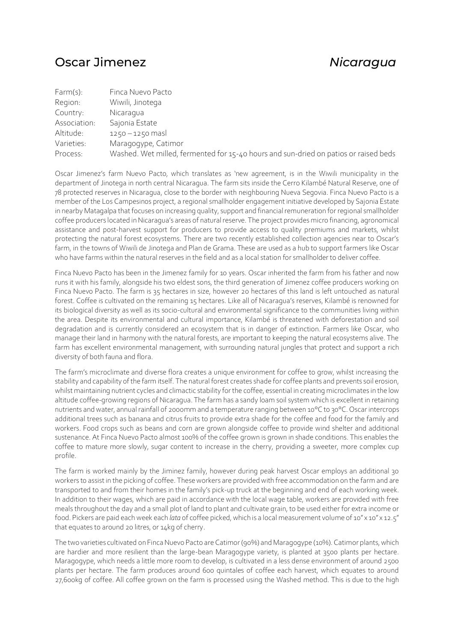## Oscar Jimenez *Nicaragua*

| Farm(s):     | Finca Nuevo Pacto                                                                    |
|--------------|--------------------------------------------------------------------------------------|
| Region:      | Wiwili, Jinotega                                                                     |
| Country:     | Nicaragua                                                                            |
| Association: | Sajonia Estate                                                                       |
| Altitude:    | $1250 - 1250$ mas                                                                    |
| Varieties:   | Maragogype, Catimor                                                                  |
| Process:     | Washed. Wet milled, fermented for 15-40 hours and sun-dried on patios or raised beds |

Oscar Jimenez's farm Nuevo Pacto, which translates as 'new agreement, is in the Wiwili municipality in the department of Jinotega in north central Nicaragua. The farm sits inside the Cerro Kilambé Natural Reserve, one of 78 protected reserves in Nicaragua, close to the border with neighbouring Nueva Segovia. Finca Nuevo Pacto is a member of the Los Campesinos project, a regional smallholder engagement initiative developed by Sajonia Estate in nearby Matagalpa that focuses on increasing quality, support and financial remuneration for regional smallholder coffee producers located in Nicaragua's areas of natural reserve. The project provides micro financing, agronomical assistance and post-harvest support for producers to provide access to quality premiums and markets, whilst protecting the natural forest ecosystems. There are two recently established collection agencies near to Oscar's farm, in the towns of Wiwili de Jinotega and Plan de Grama. These are used as a hub to support farmers like Oscar who have farms within the natural reserves in the field and as a local station for smallholder to deliver coffee.

Finca Nuevo Pacto has been in the Jimenez family for 10 years. Oscar inherited the farm from his father and now runs it with his family, alongside his two eldest sons, the third generation of Jimenez coffee producers working on Finca Nuevo Pacto. The farm is 35 hectares in size, however 20 hectares of this land is left untouched as natural forest. Coffee is cultivated on the remaining 15 hectares. Like all of Nicaragua's reserves, Kilambé is renowned for its biological diversity as well as its socio-cultural and environmental significance to the communities living within the area. Despite its environmental and cultural importance, Kilambé is threatened with deforestation and soil degradation and is currently considered an ecosystem that is in danger of extinction. Farmers like Oscar, who manage their land in harmony with the natural forests, are important to keeping the natural ecosystems alive. The farm has excellent environmental management, with surrounding natural jungles that protect and support a rich diversity of both fauna and flora.

The farm's microclimate and diverse flora creates a unique environment for coffee to grow, whilst increasing the stability and capability of the farm itself. The natural forest creates shade for coffee plants and prevents soil erosion, whilst maintaining nutrient cycles and climactic stability for the coffee, essential in creating microclimates in the low altitude coffee-growing regions of Nicaragua. The farm has a sandy loam soil system which is excellent in retaining nutrients and water, annual rainfall of 2000mm and a temperature ranging between 10°C to 30°C. Oscar intercrops additional trees such as banana and citrus fruits to provide extra shade for the coffee and food for the family and workers. Food crops such as beans and corn are grown alongside coffee to provide wind shelter and additional sustenance. At Finca Nuevo Pacto almost 100% of the coffee grown is grown in shade conditions. This enables the coffee to mature more slowly, sugar content to increase in the cherry, providing a sweeter, more complex cup profile.

The farm is worked mainly by the Jiminez family, however during peak harvest Oscar employs an additional 30 workers to assist in the picking of coffee. These workers are provided with free accommodation on the farm and are transported to and from their homes in the family's pick-up truck at the beginning and end of each working week. In addition to their wages, which are paid in accordance with the local wage table, workers are provided with free meals throughout the day and a small plot of land to plant and cultivate grain, to be used either for extra income or food. Pickers are paid each week each *lata* of coffee picked, which is a local measurement volume of 10" x 10" x 12.5" that equates to around 20 litres, or 14kg of cherry.

The two varieties cultivated on Finca Nuevo Pacto are Catimor (90%) and Maragogype (10%). Catimor plants, which are hardier and more resilient than the large-bean Maragogype variety, is planted at 3500 plants per hectare. Maragogype, which needs a little more room to develop, is cultivated in a less dense environment of around 2500 plants per hectare. The farm produces around 600 quintales of coffee each harvest, which equates to around 27,600kg of coffee. All coffee grown on the farm is processed using the Washed method. This is due to the high